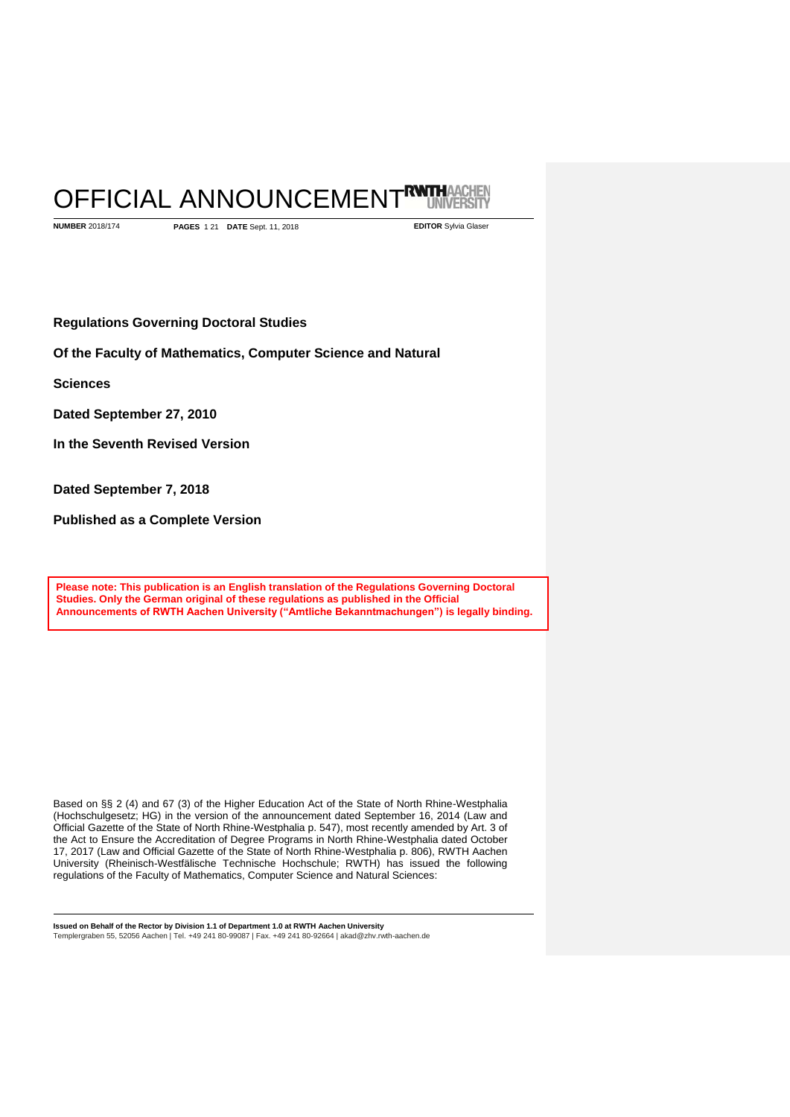# OFFICIAL ANNOUNCEMENTRUM **UNIVERSITY**

**NUMBER** 2018/174 **PAGES** 1 21 **DATE** Sept. 11, 2018 **EDITOR** Sylvia Glaser

**Regulations Governing Doctoral Studies** 

**Of the Faculty of Mathematics, Computer Science and Natural** 

**Sciences**

**Dated September 27, 2010**

**In the Seventh Revised Version**

**Dated September 7, 2018**

**Published as a Complete Version**

**Please note: This publication is an English translation of the Regulations Governing Doctoral Studies. Only the German original of these regulations as published in the Official Announcements of RWTH Aachen University ("Amtliche Bekanntmachungen") is legally binding.**

Based on §§ 2 (4) and 67 (3) of the Higher Education Act of the State of North Rhine-Westphalia (Hochschulgesetz; HG) in the version of the announcement dated September 16, 2014 (Law and Official Gazette of the State of North Rhine-Westphalia p. 547), most recently amended by Art. 3 of the Act to Ensure the Accreditation of Degree Programs in North Rhine-Westphalia dated October 17, 2017 (Law and Official Gazette of the State of North Rhine-Westphalia p. 806), RWTH Aachen University (Rheinisch-Westfälische Technische Hochschule; RWTH) has issued the following regulations of the Faculty of Mathematics, Computer Science and Natural Sciences: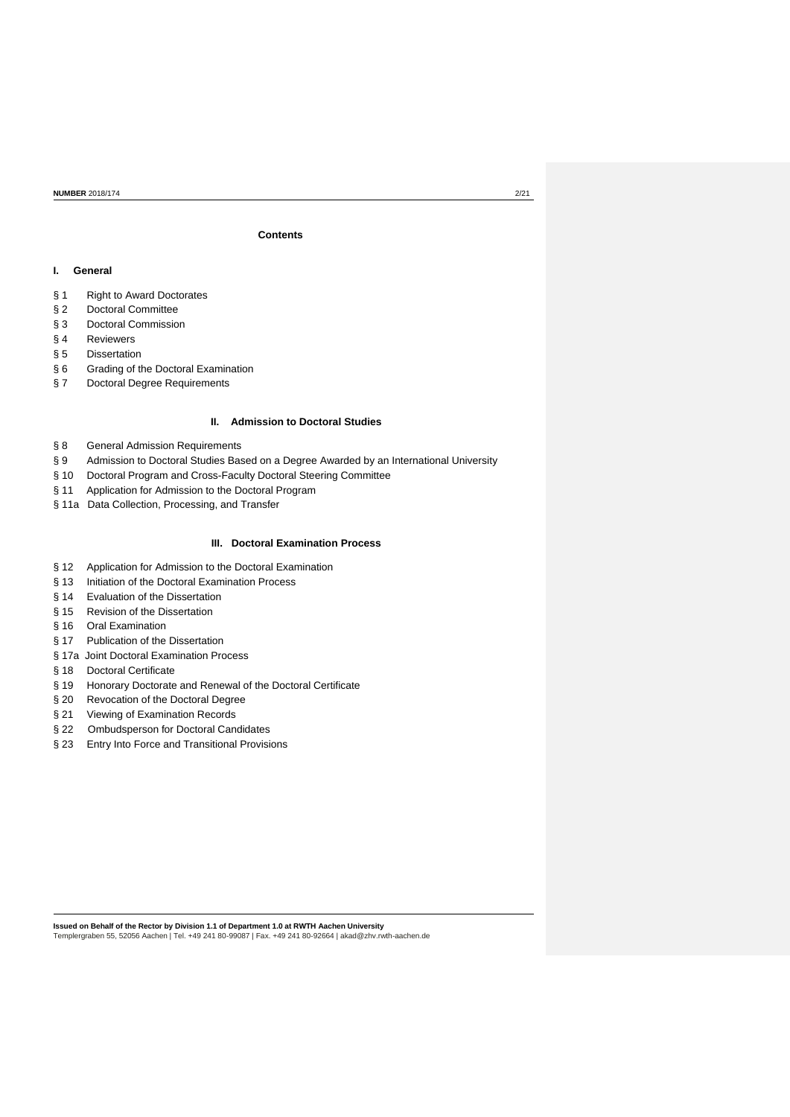# **Contents**

### **I. General**

- § 1 Right to Award Doctorates
- § 2 Doctoral Committee
- § 3 Doctoral Commission
- § 4 Reviewers
- § 5 Dissertation
- § 6 Grading of the Doctoral Examination
- § 7 Doctoral Degree Requirements

# **II. Admission to Doctoral Studies**

- § 8 General Admission Requirements
- § 9 Admission to Doctoral Studies Based on a Degree Awarded by an International University
- § 10 Doctoral Program and Cross-Faculty Doctoral Steering Committee
- § 11 Application for Admission to the Doctoral Program
- § 11a Data Collection, Processing, and Transfer

# **III. Doctoral Examination Process**

- § 12 Application for Admission to the Doctoral Examination
- § 13 Initiation of the Doctoral Examination Process
- § 14 Evaluation of the Dissertation
- § 15 Revision of the Dissertation
- § 16 Oral Examination
- § 17 Publication of the Dissertation
- § 17a Joint Doctoral Examination Process
- § 18 Doctoral Certificate
- § 19 Honorary Doctorate and Renewal of the Doctoral Certificate
- § 20 Revocation of the Doctoral Degree
- § 21 Viewing of Examination Records
- § 22 Ombudsperson for Doctoral Candidates
- § 23 Entry Into Force and Transitional Provisions

**Issued on Behalf of the Rector by Division 1.1 of Department 1.0 at RWTH Aachen University**

Templergraben 55, 52056 Aachen | Tel. +49 241 80-99087 | Fax. +49 241 80-92664 [| akad@zhv.rwth-aachen.de](mailto:akad@zhv.rwth-aachen.de)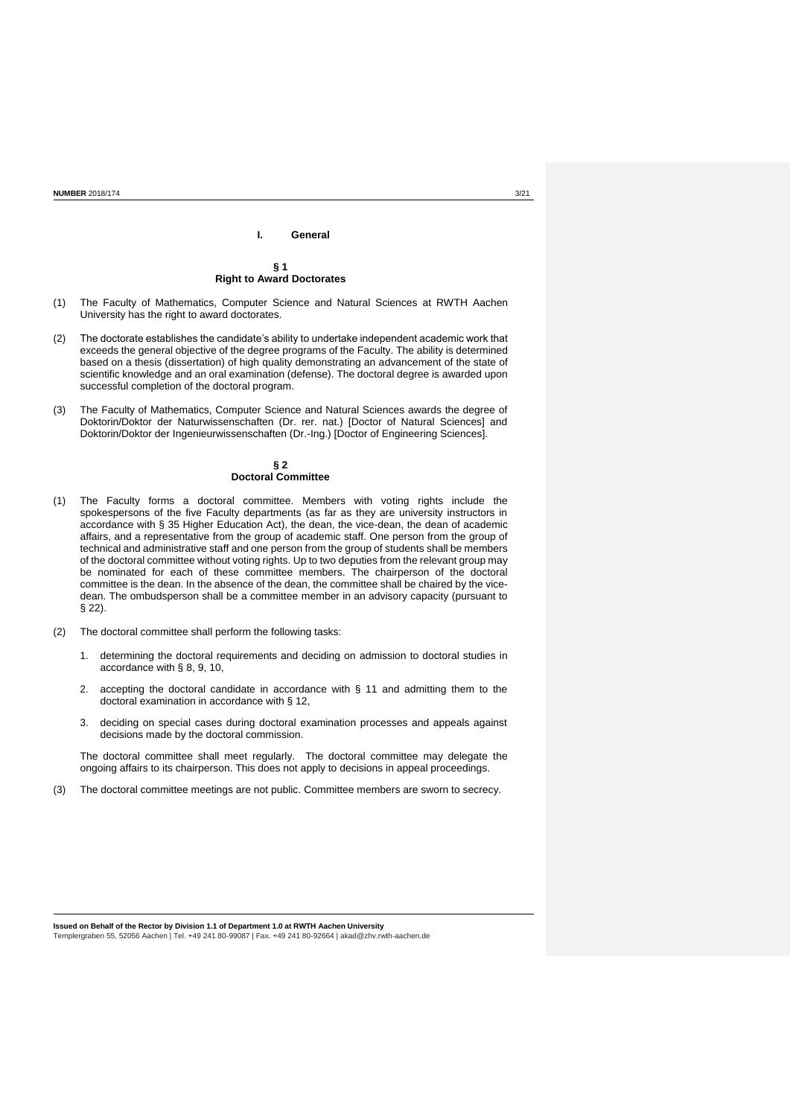# **I. General § 1 Right to Award Doctorates**

- (1) The Faculty of Mathematics, Computer Science and Natural Sciences at RWTH Aachen University has the right to award doctorates.
- (2) The doctorate establishes the candidate's ability to undertake independent academic work that exceeds the general objective of the degree programs of the Faculty. The ability is determined based on a thesis (dissertation) of high quality demonstrating an advancement of the state of scientific knowledge and an oral examination (defense). The doctoral degree is awarded upon successful completion of the doctoral program.
- (3) The Faculty of Mathematics, Computer Science and Natural Sciences awards the degree of Doktorin/Doktor der Naturwissenschaften (Dr. rer. nat.) [Doctor of Natural Sciences] and Doktorin/Doktor der Ingenieurwissenschaften (Dr.-Ing.) [Doctor of Engineering Sciences].

### **§ 2 Doctoral Committee**

- (1) The Faculty forms a doctoral committee. Members with voting rights include the spokespersons of the five Faculty departments (as far as they are university instructors in accordance with § 35 Higher Education Act), the dean, the vice-dean, the dean of academic affairs, and a representative from the group of academic staff. One person from the group of technical and administrative staff and one person from the group of students shall be members of the doctoral committee without voting rights. Up to two deputies from the relevant group may be nominated for each of these committee members. The chairperson of the doctoral committee is the dean. In the absence of the dean, the committee shall be chaired by the vicedean. The ombudsperson shall be a committee member in an advisory capacity (pursuant to § 22).
- (2) The doctoral committee shall perform the following tasks:
	- 1. determining the doctoral requirements and deciding on admission to doctoral studies in accordance with § 8, 9, 10,
	- 2. accepting the doctoral candidate in accordance with § 11 and admitting them to the doctoral examination in accordance with § 12,
	- 3. deciding on special cases during doctoral examination processes and appeals against decisions made by the doctoral commission.

The doctoral committee shall meet regularly. The doctoral committee may delegate the ongoing affairs to its chairperson. This does not apply to decisions in appeal proceedings.

(3) The doctoral committee meetings are not public. Committee members are sworn to secrecy.

**Issued on Behalf of the Rector by Division 1.1 of Department 1.0 at RWTH Aachen University**

Templergraben 55, 52056 Aachen | Tel. +49 241 80-99087 | Fax. +49 241 80-92664 [| akad@zhv.rwth-aachen.de](mailto:akad@zhv.rwth-aachen.de)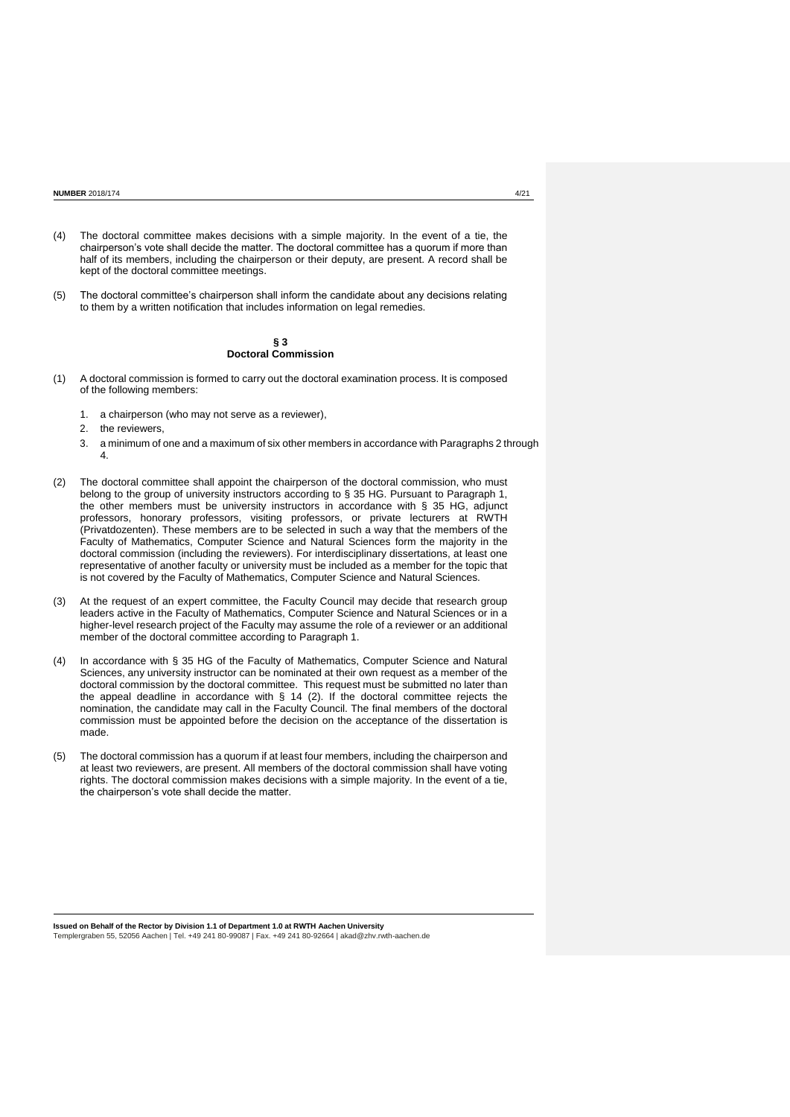- (4) The doctoral committee makes decisions with a simple majority. In the event of a tie, the chairperson's vote shall decide the matter. The doctoral committee has a quorum if more than half of its members, including the chairperson or their deputy, are present. A record shall be kept of the doctoral committee meetings.
- (5) The doctoral committee's chairperson shall inform the candidate about any decisions relating to them by a written notification that includes information on legal remedies.

### **§ 3 Doctoral Commission**

- (1) A doctoral commission is formed to carry out the doctoral examination process. It is composed of the following members:
	- 1. a chairperson (who may not serve as a reviewer),
	- 2. the reviewers,
	- 3. a minimum of one and a maximum of six other members in accordance with Paragraphs 2 through 4.
- (2) The doctoral committee shall appoint the chairperson of the doctoral commission, who must belong to the group of university instructors according to § 35 HG. Pursuant to Paragraph 1, the other members must be university instructors in accordance with § 35 HG, adjunct professors, honorary professors, visiting professors, or private lecturers at RWTH (Privatdozenten). These members are to be selected in such a way that the members of the Faculty of Mathematics, Computer Science and Natural Sciences form the majority in the doctoral commission (including the reviewers). For interdisciplinary dissertations, at least one representative of another faculty or university must be included as a member for the topic that is not covered by the Faculty of Mathematics, Computer Science and Natural Sciences.
- (3) At the request of an expert committee, the Faculty Council may decide that research group leaders active in the Faculty of Mathematics, Computer Science and Natural Sciences or in a higher-level research project of the Faculty may assume the role of a reviewer or an additional member of the doctoral committee according to Paragraph 1.
- (4) In accordance with § 35 HG of the Faculty of Mathematics, Computer Science and Natural Sciences, any university instructor can be nominated at their own request as a member of the doctoral commission by the doctoral committee. This request must be submitted no later than the appeal deadline in accordance with § 14 (2). If the doctoral committee rejects the nomination, the candidate may call in the Faculty Council. The final members of the doctoral commission must be appointed before the decision on the acceptance of the dissertation is made.
- (5) The doctoral commission has a quorum if at least four members, including the chairperson and at least two reviewers, are present. All members of the doctoral commission shall have voting rights. The doctoral commission makes decisions with a simple majority. In the event of a tie, the chairperson's vote shall decide the matter.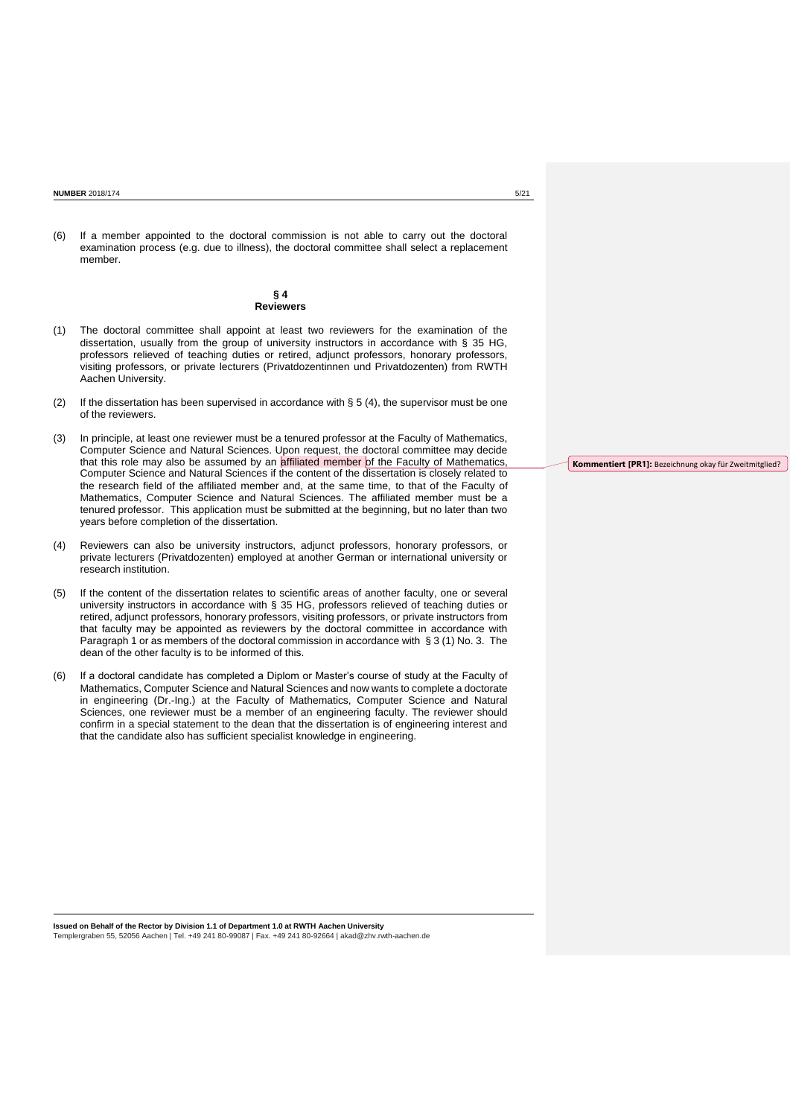**NUMBER** 2018/174 5/21

(6) If a member appointed to the doctoral commission is not able to carry out the doctoral examination process (e.g. due to illness), the doctoral committee shall select a replacement member.

### **§ 4 Reviewers**

- (1) The doctoral committee shall appoint at least two reviewers for the examination of the dissertation, usually from the group of university instructors in accordance with § 35 HG, professors relieved of teaching duties or retired, adjunct professors, honorary professors, visiting professors, or private lecturers (Privatdozentinnen und Privatdozenten) from RWTH Aachen University.
- (2) If the dissertation has been supervised in accordance with § 5 (4), the supervisor must be one of the reviewers.
- (3) In principle, at least one reviewer must be a tenured professor at the Faculty of Mathematics, Computer Science and Natural Sciences. Upon request, the doctoral committee may decide that this role may also be assumed by an affiliated member of the Faculty of Mathematics, Computer Science and Natural Sciences if the content of the dissertation is closely related to the research field of the affiliated member and, at the same time, to that of the Faculty of Mathematics, Computer Science and Natural Sciences. The affiliated member must be a tenured professor. This application must be submitted at the beginning, but no later than two years before completion of the dissertation.
- (4) Reviewers can also be university instructors, adjunct professors, honorary professors, or private lecturers (Privatdozenten) employed at another German or international university or research institution.
- (5) If the content of the dissertation relates to scientific areas of another faculty, one or several university instructors in accordance with § 35 HG, professors relieved of teaching duties or retired, adjunct professors, honorary professors, visiting professors, or private instructors from that faculty may be appointed as reviewers by the doctoral committee in accordance with Paragraph 1 or as members of the doctoral commission in accordance with § 3 (1) No. 3. The dean of the other faculty is to be informed of this.
- (6) If a doctoral candidate has completed a Diplom or Master's course of study at the Faculty of Mathematics, Computer Science and Natural Sciences and now wants to complete a doctorate in engineering (Dr.-Ing.) at the Faculty of Mathematics, Computer Science and Natural Sciences, one reviewer must be a member of an engineering faculty. The reviewer should confirm in a special statement to the dean that the dissertation is of engineering interest and that the candidate also has sufficient specialist knowledge in engineering.

**Kommentiert [PR1]:** Bezeichnung okay für Zweitmitglied?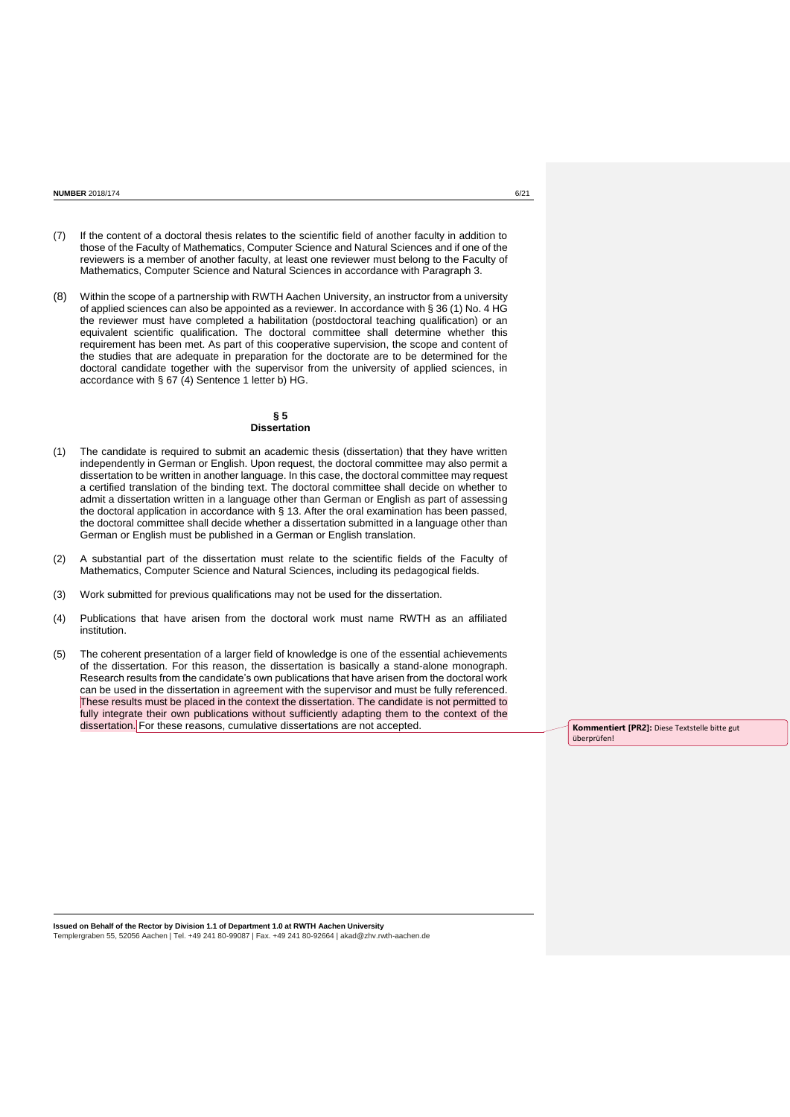- (7) If the content of a doctoral thesis relates to the scientific field of another faculty in addition to those of the Faculty of Mathematics, Computer Science and Natural Sciences and if one of the reviewers is a member of another faculty, at least one reviewer must belong to the Faculty of Mathematics, Computer Science and Natural Sciences in accordance with Paragraph 3.
- (8) Within the scope of a partnership with RWTH Aachen University, an instructor from a university of applied sciences can also be appointed as a reviewer. In accordance with § 36 (1) No. 4 HG the reviewer must have completed a habilitation (postdoctoral teaching qualification) or an equivalent scientific qualification. The doctoral committee shall determine whether this requirement has been met. As part of this cooperative supervision, the scope and content of the studies that are adequate in preparation for the doctorate are to be determined for the doctoral candidate together with the supervisor from the university of applied sciences, in accordance with § 67 (4) Sentence 1 letter b) HG.

### **§ 5 Dissertation**

- (1) The candidate is required to submit an academic thesis (dissertation) that they have written independently in German or English. Upon request, the doctoral committee may also permit a dissertation to be written in another language. In this case, the doctoral committee may request a certified translation of the binding text. The doctoral committee shall decide on whether to admit a dissertation written in a language other than German or English as part of assessing the doctoral application in accordance with § 13. After the oral examination has been passed, the doctoral committee shall decide whether a dissertation submitted in a language other than German or English must be published in a German or English translation.
- (2) A substantial part of the dissertation must relate to the scientific fields of the Faculty of Mathematics, Computer Science and Natural Sciences, including its pedagogical fields.
- (3) Work submitted for previous qualifications may not be used for the dissertation.
- (4) Publications that have arisen from the doctoral work must name RWTH as an affiliated institution.
- (5) The coherent presentation of a larger field of knowledge is one of the essential achievements of the dissertation. For this reason, the dissertation is basically a stand-alone monograph. Research results from the candidate's own publications that have arisen from the doctoral work can be used in the dissertation in agreement with the supervisor and must be fully referenced. These results must be placed in the context the dissertation. The candidate is not permitted to fully integrate their own publications without sufficiently adapting them to the context of the dissertation. For these reasons, cumulative dissertations are not accepted. **Kommentiert [PR2]:** Diese Textstelle bitte gut

überprüfen!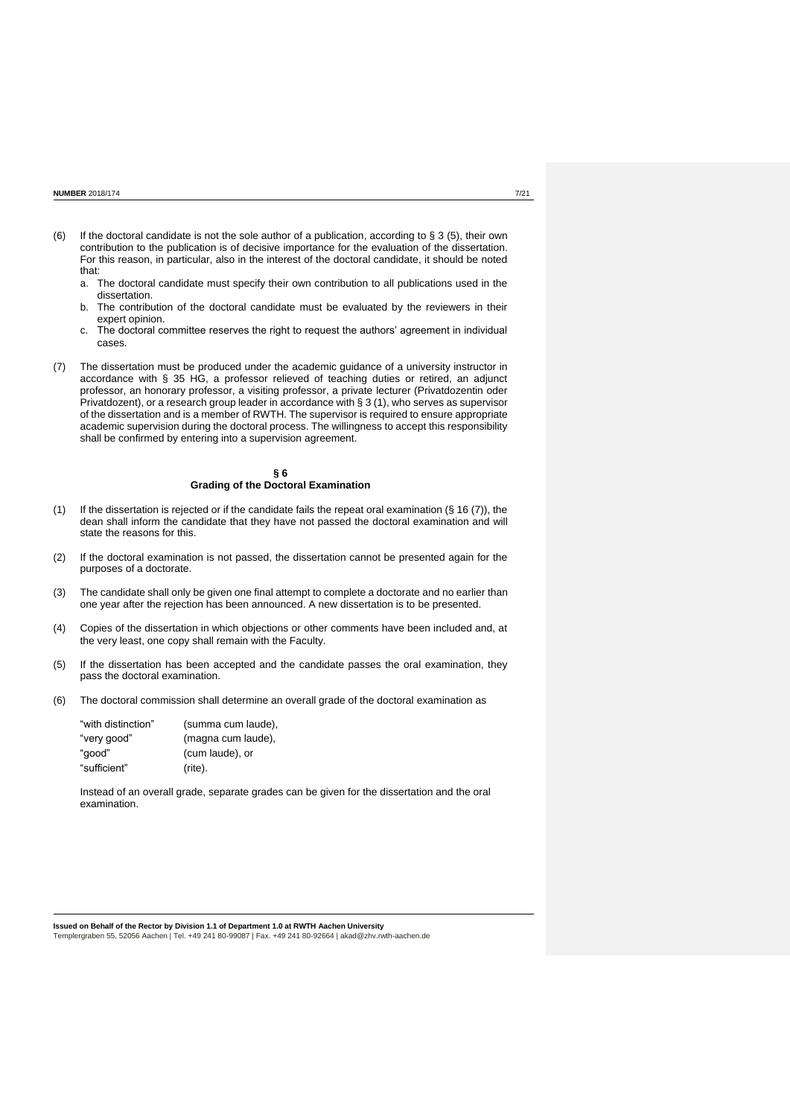- (6) If the doctoral candidate is not the sole author of a publication, according to § 3 (5), their own contribution to the publication is of decisive importance for the evaluation of the dissertation. For this reason, in particular, also in the interest of the doctoral candidate, it should be noted that:
	- a. The doctoral candidate must specify their own contribution to all publications used in the dissertation.
	- b. The contribution of the doctoral candidate must be evaluated by the reviewers in their expert opinion.
	- c. The doctoral committee reserves the right to request the authors' agreement in individual cases.
- (7) The dissertation must be produced under the academic guidance of a university instructor in accordance with § 35 HG, a professor relieved of teaching duties or retired, an adjunct professor, an honorary professor, a visiting professor, a private lecturer (Privatdozentin oder Privatdozent), or a research group leader in accordance with § 3 (1), who serves as supervisor of the dissertation and is a member of RWTH. The supervisor is required to ensure appropriate academic supervision during the doctoral process. The willingness to accept this responsibility shall be confirmed by entering into a supervision agreement.

#### **§ 6 Grading of the Doctoral Examination**

- (1) If the dissertation is rejected or if the candidate fails the repeat oral examination (§ 16 (7)), the dean shall inform the candidate that they have not passed the doctoral examination and will state the reasons for this.
- (2) If the doctoral examination is not passed, the dissertation cannot be presented again for the purposes of a doctorate.
- (3) The candidate shall only be given one final attempt to complete a doctorate and no earlier than one year after the rejection has been announced. A new dissertation is to be presented.
- (4) Copies of the dissertation in which objections or other comments have been included and, at the very least, one copy shall remain with the Faculty.
- (5) If the dissertation has been accepted and the candidate passes the oral examination, they pass the doctoral examination.
- (6) The doctoral commission shall determine an overall grade of the doctoral examination as

| "with distinction" | (summa cum laude). |
|--------------------|--------------------|
| "very good"        | (magna cum laude), |
| "aood"             | (cum laude), or    |
| "sufficient"       | (rite).            |

Instead of an overall grade, separate grades can be given for the dissertation and the oral examination.

**Issued on Behalf of the Rector by Division 1.1 of Department 1.0 at RWTH Aachen University**

Templergraben 55, 52056 Aachen | Tel. +49 241 80-99087 | Fax. +49 241 80-92664 [| akad@zhv.rwth-aachen.de](mailto:akad@zhv.rwth-aachen.de)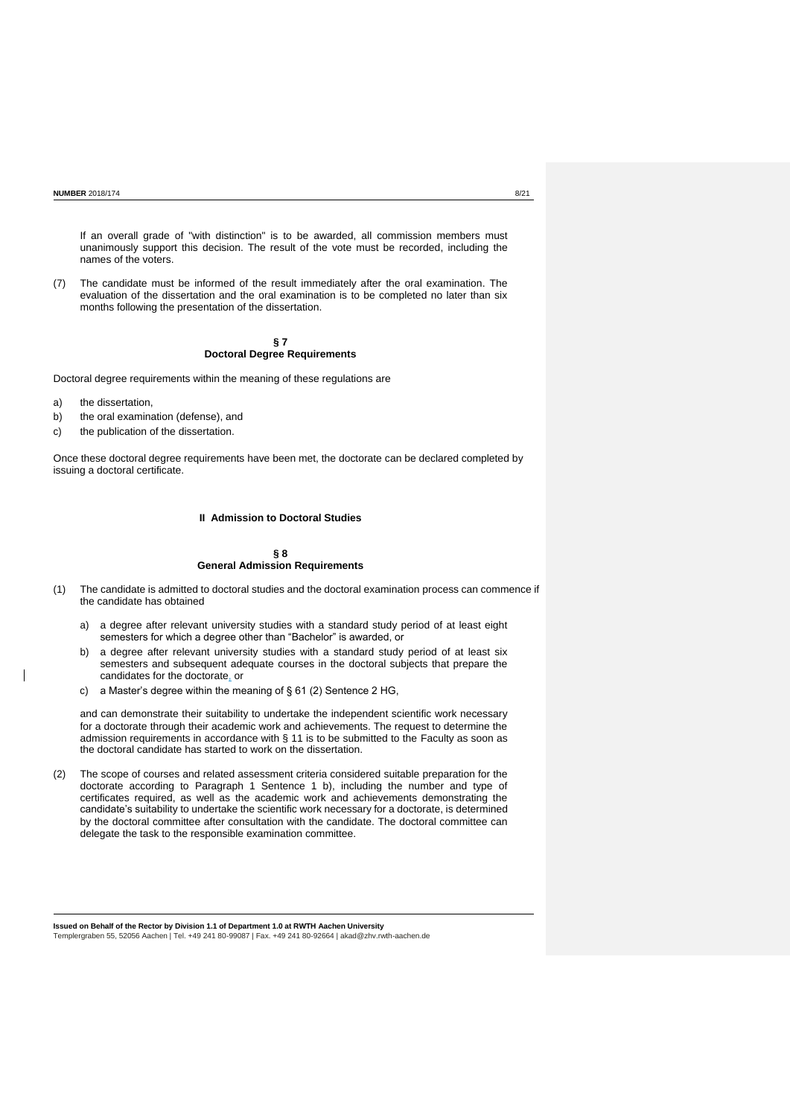If an overall grade of "with distinction" is to be awarded, all commission members must unanimously support this decision. The result of the vote must be recorded, including the names of the voters.

(7) The candidate must be informed of the result immediately after the oral examination. The evaluation of the dissertation and the oral examination is to be completed no later than six months following the presentation of the dissertation.

### **§ 7 Doctoral Degree Requirements**

Doctoral degree requirements within the meaning of these regulations are

- a) the dissertation,
- b) the oral examination (defense), and
- c) the publication of the dissertation.

Once these doctoral degree requirements have been met, the doctorate can be declared completed by issuing a doctoral certificate.

# **II Admission to Doctoral Studies**

### **§ 8 General Admission Requirements**

- (1) The candidate is admitted to doctoral studies and the doctoral examination process can commence if the candidate has obtained
	- a) a degree after relevant university studies with a standard study period of at least eight semesters for which a degree other than "Bachelor" is awarded, or
	- b) a degree after relevant university studies with a standard study period of at least six semesters and subsequent adequate courses in the doctoral subjects that prepare the candidates for the doctorate, or
	- c) a Master's degree within the meaning of § 61 (2) Sentence 2 HG,

and can demonstrate their suitability to undertake the independent scientific work necessary for a doctorate through their academic work and achievements. The request to determine the admission requirements in accordance with § 11 is to be submitted to the Faculty as soon as the doctoral candidate has started to work on the dissertation.

(2) The scope of courses and related assessment criteria considered suitable preparation for the doctorate according to Paragraph 1 Sentence 1 b), including the number and type of certificates required, as well as the academic work and achievements demonstrating the candidate's suitability to undertake the scientific work necessary for a doctorate, is determined by the doctoral committee after consultation with the candidate. The doctoral committee can delegate the task to the responsible examination committee.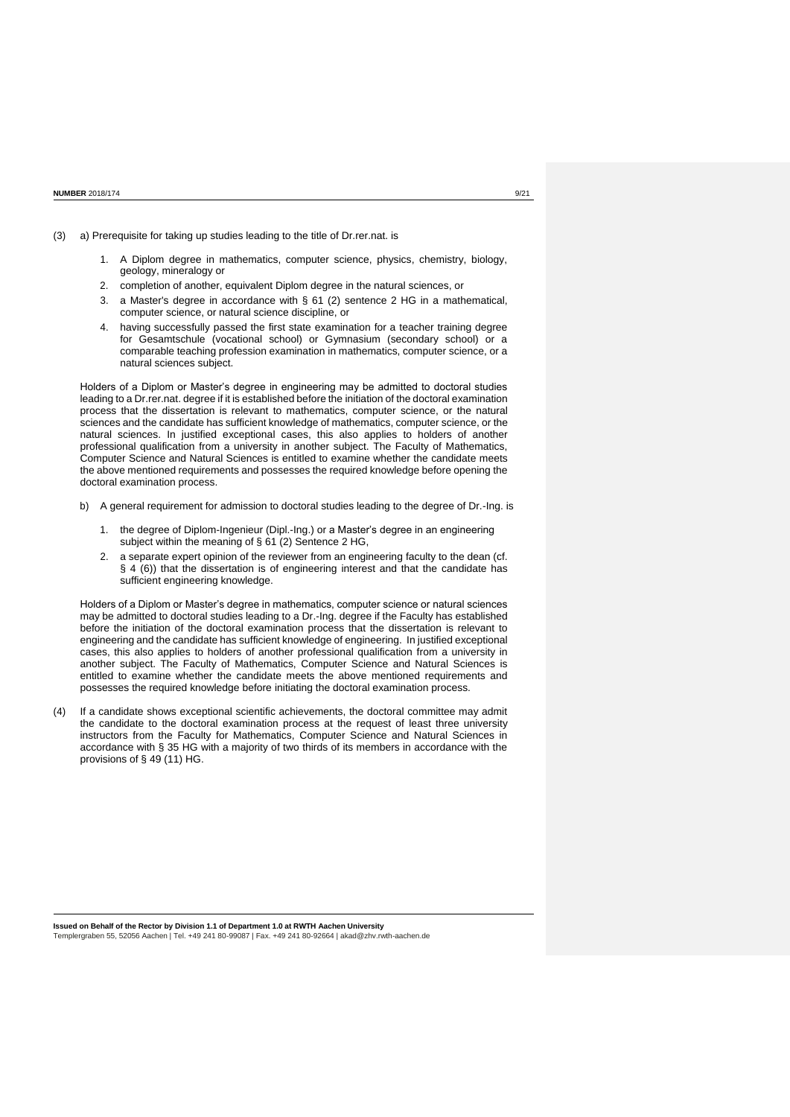- (3) a) Prerequisite for taking up studies leading to the title of Dr.rer.nat. is
	- 1. A Diplom degree in mathematics, computer science, physics, chemistry, biology, geology, mineralogy or
	- 2. completion of another, equivalent Diplom degree in the natural sciences, or
	- 3. a Master's degree in accordance with § 61 (2) sentence 2 HG in a mathematical, computer science, or natural science discipline, or
	- 4. having successfully passed the first state examination for a teacher training degree for Gesamtschule (vocational school) or Gymnasium (secondary school) or a comparable teaching profession examination in mathematics, computer science, or a natural sciences subject.

Holders of a Diplom or Master's degree in engineering may be admitted to doctoral studies leading to a Dr.rer.nat. degree if it is established before the initiation of the doctoral examination process that the dissertation is relevant to mathematics, computer science, or the natural sciences and the candidate has sufficient knowledge of mathematics, computer science, or the natural sciences. In justified exceptional cases, this also applies to holders of another professional qualification from a university in another subject. The Faculty of Mathematics, Computer Science and Natural Sciences is entitled to examine whether the candidate meets the above mentioned requirements and possesses the required knowledge before opening the doctoral examination process.

- b) A general requirement for admission to doctoral studies leading to the degree of Dr.-Ing. is
	- 1. the degree of Diplom-Ingenieur (Dipl.-Ing.) or a Master's degree in an engineering subject within the meaning of § 61 (2) Sentence 2 HG,
	- 2. a separate expert opinion of the reviewer from an engineering faculty to the dean (cf. § 4 (6)) that the dissertation is of engineering interest and that the candidate has sufficient engineering knowledge.

Holders of a Diplom or Master's degree in mathematics, computer science or natural sciences may be admitted to doctoral studies leading to a Dr.-Ing. degree if the Faculty has established before the initiation of the doctoral examination process that the dissertation is relevant to engineering and the candidate has sufficient knowledge of engineering. In justified exceptional cases, this also applies to holders of another professional qualification from a university in another subject. The Faculty of Mathematics, Computer Science and Natural Sciences is entitled to examine whether the candidate meets the above mentioned requirements and possesses the required knowledge before initiating the doctoral examination process.

(4) If a candidate shows exceptional scientific achievements, the doctoral committee may admit the candidate to the doctoral examination process at the request of least three university instructors from the Faculty for Mathematics, Computer Science and Natural Sciences in accordance with § 35 HG with a majority of two thirds of its members in accordance with the provisions of § 49 (11) HG.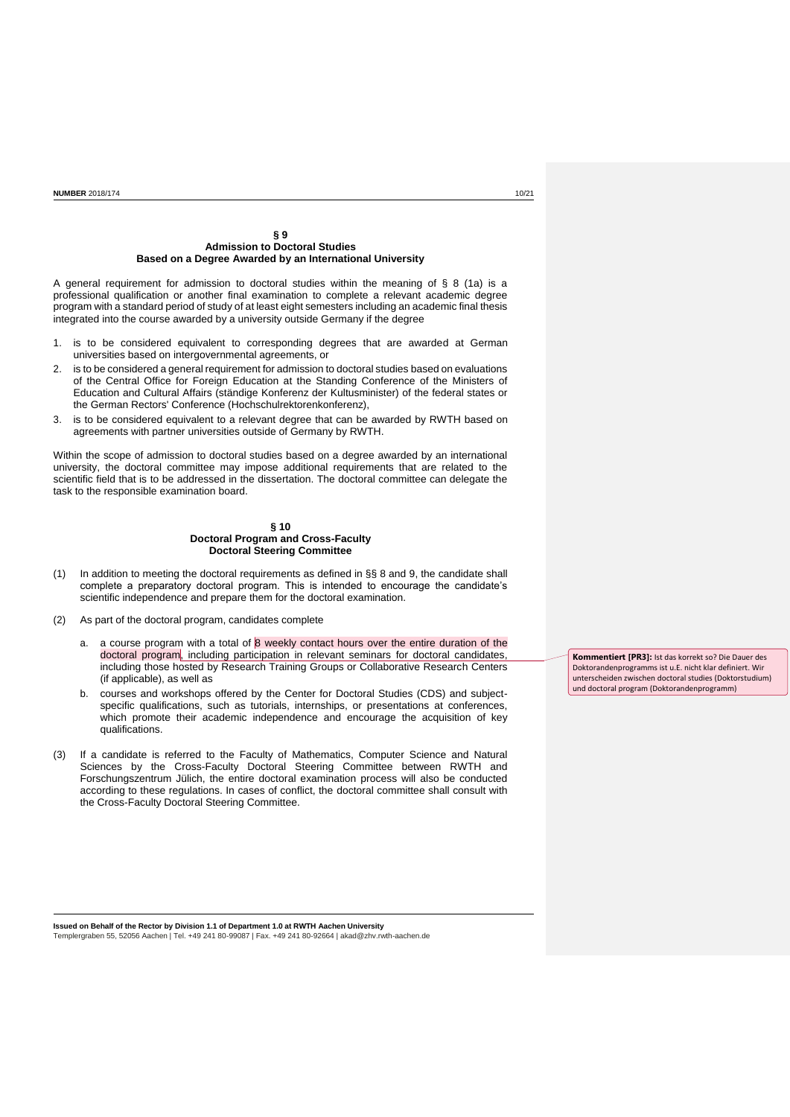### **§ 9 Admission to Doctoral Studies Based on a Degree Awarded by an International University**

A general requirement for admission to doctoral studies within the meaning of  $\S$  8 (1a) is a professional qualification or another final examination to complete a relevant academic degree program with a standard period of study of at least eight semesters including an academic final thesis integrated into the course awarded by a university outside Germany if the degree

- 1. is to be considered equivalent to corresponding degrees that are awarded at German universities based on intergovernmental agreements, or
- 2. is to be considered a general requirement for admission to doctoral studies based on evaluations of the Central Office for Foreign Education at the Standing Conference of the Ministers of Education and Cultural Affairs (ständige Konferenz der Kultusminister) of the federal states or the German Rectors' Conference (Hochschulrektorenkonferenz),
- 3. is to be considered equivalent to a relevant degree that can be awarded by RWTH based on agreements with partner universities outside of Germany by RWTH.

Within the scope of admission to doctoral studies based on a degree awarded by an international university, the doctoral committee may impose additional requirements that are related to the scientific field that is to be addressed in the dissertation. The doctoral committee can delegate the task to the responsible examination board.

#### **§ 10 Doctoral Program and Cross-Faculty Doctoral Steering Committee**

- (1) In addition to meeting the doctoral requirements as defined in §§ 8 and 9, the candidate shall complete a preparatory doctoral program. This is intended to encourage the candidate's scientific independence and prepare them for the doctoral examination.
- (2) As part of the doctoral program, candidates complete
	- a. a course program with a total of  $8$  weekly contact hours over the entire duration of the doctoral program, including participation in relevant seminars for doctoral candidates, including those hosted by Research Training Groups or Collaborative Research Centers (if applicable), as well as
	- b. courses and workshops offered by the Center for Doctoral Studies (CDS) and subjectspecific qualifications, such as tutorials, internships, or presentations at conferences, which promote their academic independence and encourage the acquisition of key qualifications.
- (3) If a candidate is referred to the Faculty of Mathematics, Computer Science and Natural Sciences by the Cross-Faculty Doctoral Steering Committee between RWTH and Forschungszentrum Jülich, the entire doctoral examination process will also be conducted according to these regulations. In cases of conflict, the doctoral committee shall consult with the Cross-Faculty Doctoral Steering Committee.

**Kommentiert [PR3]:** Ist das korrekt so? Die Dauer des Doktorandenprogramms ist u.E. nicht klar definiert. Wir unterscheiden zwischen doctoral studies (Doktorstudium) und doctoral program (Doktorandenprogramm)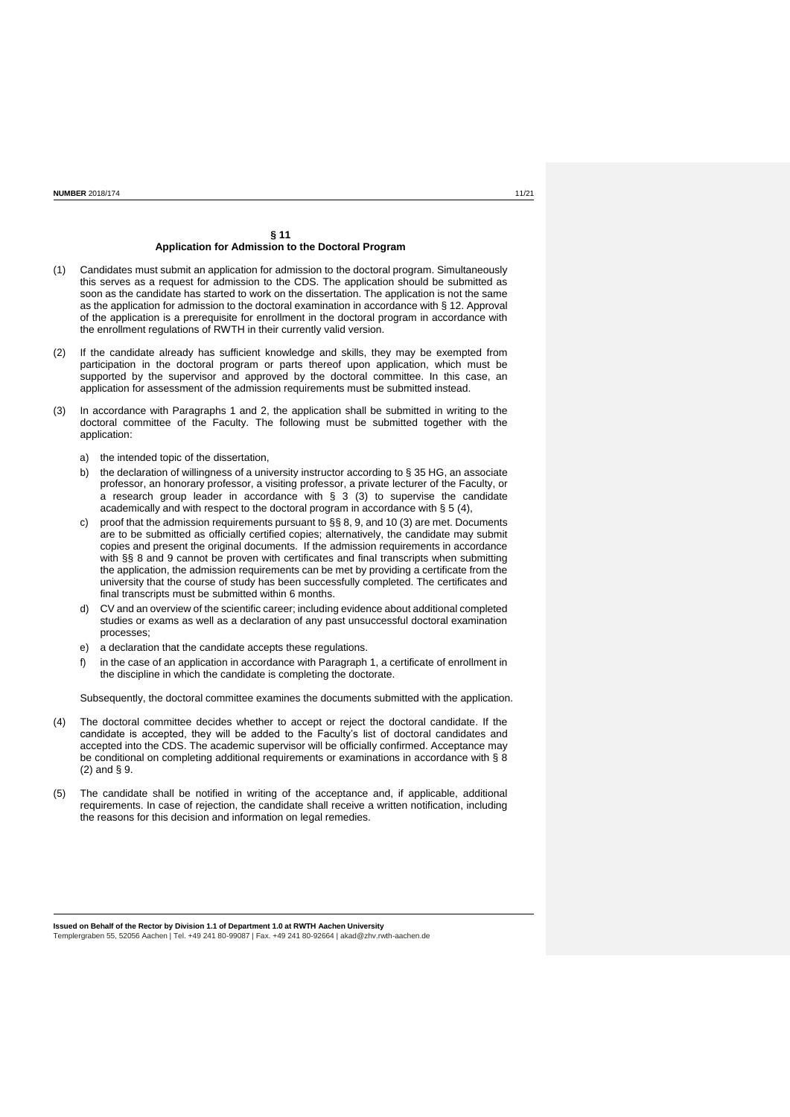### **§ 11 Application for Admission to the Doctoral Program**

- (1) Candidates must submit an application for admission to the doctoral program. Simultaneously this serves as a request for admission to the CDS. The application should be submitted as soon as the candidate has started to work on the dissertation. The application is not the same as the application for admission to the doctoral examination in accordance with § 12. Approval of the application is a prerequisite for enrollment in the doctoral program in accordance with the enrollment regulations of RWTH in their currently valid version.
- (2) If the candidate already has sufficient knowledge and skills, they may be exempted from participation in the doctoral program or parts thereof upon application, which must be supported by the supervisor and approved by the doctoral committee. In this case, an application for assessment of the admission requirements must be submitted instead.
- (3) In accordance with Paragraphs 1 and 2, the application shall be submitted in writing to the doctoral committee of the Faculty. The following must be submitted together with the application:
	- a) the intended topic of the dissertation,
	- b) the declaration of willingness of a university instructor according to § 35 HG, an associate professor, an honorary professor, a visiting professor, a private lecturer of the Faculty, or a research group leader in accordance with § 3 (3) to supervise the candidate academically and with respect to the doctoral program in accordance with § 5 (4),
	- c) proof that the admission requirements pursuant to §§ 8, 9, and 10 (3) are met. Documents are to be submitted as officially certified copies; alternatively, the candidate may submit copies and present the original documents. If the admission requirements in accordance with §§ 8 and 9 cannot be proven with certificates and final transcripts when submitting the application, the admission requirements can be met by providing a certificate from the university that the course of study has been successfully completed. The certificates and final transcripts must be submitted within 6 months.
	- d) CV and an overview of the scientific career; including evidence about additional completed studies or exams as well as a declaration of any past unsuccessful doctoral examination processes;
	- e) a declaration that the candidate accepts these regulations.
	- f) in the case of an application in accordance with Paragraph 1, a certificate of enrollment in the discipline in which the candidate is completing the doctorate.

Subsequently, the doctoral committee examines the documents submitted with the application.

- (4) The doctoral committee decides whether to accept or reject the doctoral candidate. If the candidate is accepted, they will be added to the Faculty's list of doctoral candidates and accepted into the CDS. The academic supervisor will be officially confirmed. Acceptance may be conditional on completing additional requirements or examinations in accordance with § 8 (2) and § 9.
- (5) The candidate shall be notified in writing of the acceptance and, if applicable, additional requirements. In case of rejection, the candidate shall receive a written notification, including the reasons for this decision and information on legal remedies.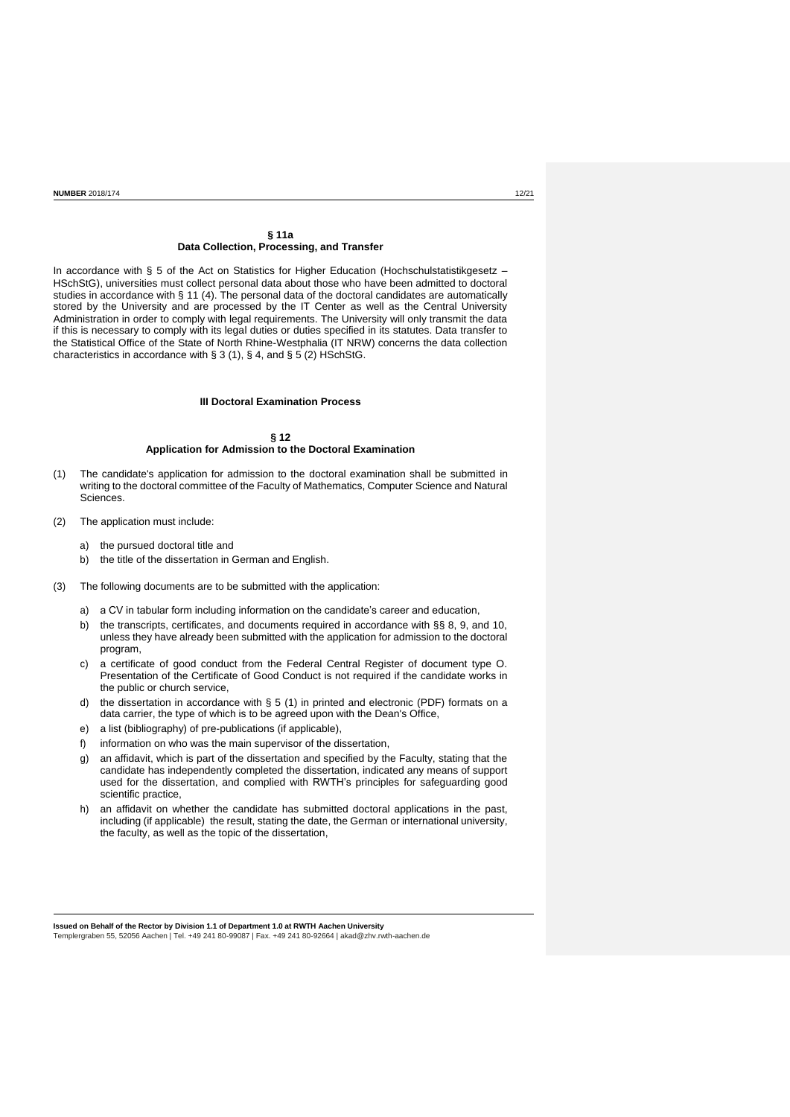### **§ 11a Data Collection, Processing, and Transfer**

In accordance with § 5 of the Act on Statistics for Higher Education (Hochschulstatistikgesetz -HSchStG), universities must collect personal data about those who have been admitted to doctoral studies in accordance with § 11 (4). The personal data of the doctoral candidates are automatically stored by the University and are processed by the IT Center as well as the Central University Administration in order to comply with legal requirements. The University will only transmit the data if this is necessary to comply with its legal duties or duties specified in its statutes. Data transfer to the Statistical Office of the State of North Rhine-Westphalia (IT NRW) concerns the data collection characteristics in accordance with  $\S 3$  (1),  $\S 4$ , and  $\S 5$  (2) HSchStG.

# **III Doctoral Examination Process**

#### **§ 12 Application for Admission to the Doctoral Examination**

- (1) The candidate's application for admission to the doctoral examination shall be submitted in writing to the doctoral committee of the Faculty of Mathematics, Computer Science and Natural Sciences.
- (2) The application must include:
	- a) the pursued doctoral title and
	- b) the title of the dissertation in German and English.
- (3) The following documents are to be submitted with the application:
	- a) a CV in tabular form including information on the candidate's career and education,
	- b) the transcripts, certificates, and documents required in accordance with §§ 8, 9, and 10, unless they have already been submitted with the application for admission to the doctoral program,
	- c) a certificate of good conduct from the Federal Central Register of document type O. Presentation of the Certificate of Good Conduct is not required if the candidate works in the public or church service,
	- d) the dissertation in accordance with § 5 (1) in printed and electronic (PDF) formats on a data carrier, the type of which is to be agreed upon with the Dean's Office,
	- e) a list (bibliography) of pre-publications (if applicable),
	- f) information on who was the main supervisor of the dissertation,
	- g) an affidavit, which is part of the dissertation and specified by the Faculty, stating that the candidate has independently completed the dissertation, indicated any means of support used for the dissertation, and complied with RWTH's principles for safeguarding good scientific practice,
	- h) an affidavit on whether the candidate has submitted doctoral applications in the past, including (if applicable) the result, stating the date, the German or international university, the faculty, as well as the topic of the dissertation,

**Issued on Behalf of the Rector by Division 1.1 of Department 1.0 at RWTH Aachen University**

Templergraben 55, 52056 Aachen | Tel. +49 241 80-99087 | Fax. +49 241 80-92664 [| akad@zhv.rwth-aachen.de](mailto:akad@zhv.rwth-aachen.de)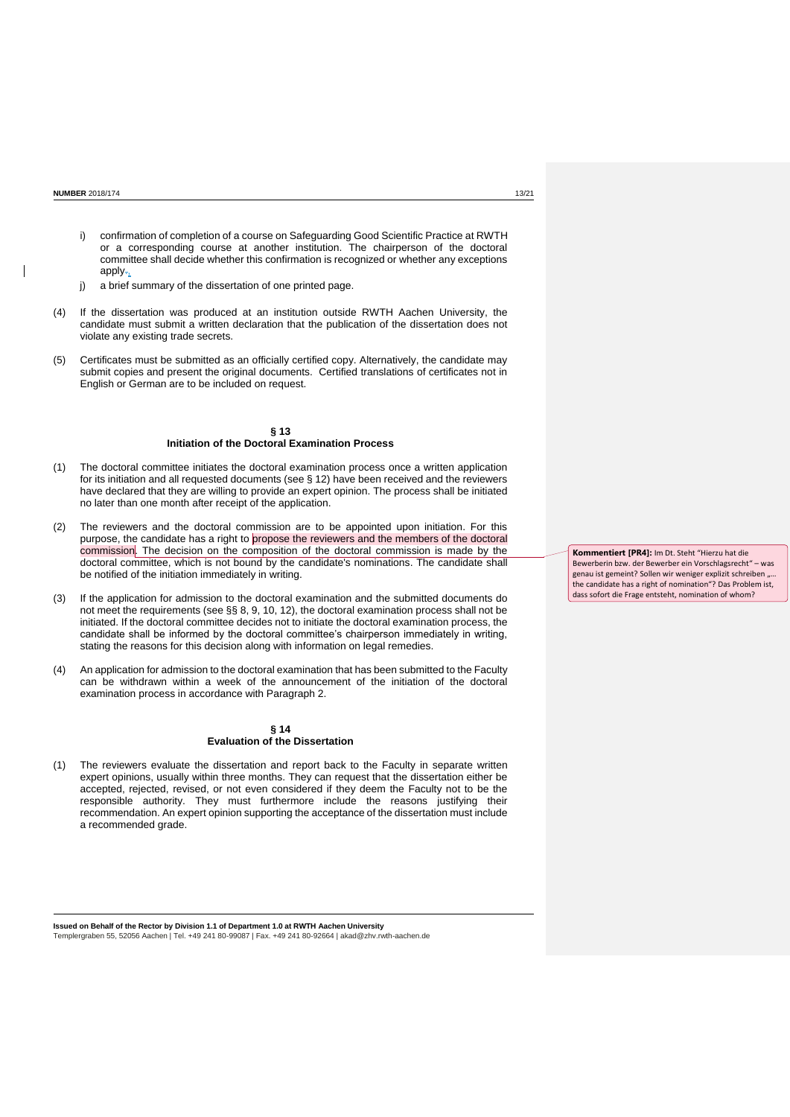- i) confirmation of completion of a course on Safeguarding Good Scientific Practice at RWTH or a corresponding course at another institution. The chairperson of the doctoral committee shall decide whether this confirmation is recognized or whether any exceptions apply.,
- j) a brief summary of the dissertation of one printed page.
- (4) If the dissertation was produced at an institution outside RWTH Aachen University, the candidate must submit a written declaration that the publication of the dissertation does not violate any existing trade secrets.
- (5) Certificates must be submitted as an officially certified copy. Alternatively, the candidate may submit copies and present the original documents. Certified translations of certificates not in English or German are to be included on request.

### **§ 13 Initiation of the Doctoral Examination Process**

- (1) The doctoral committee initiates the doctoral examination process once a written application for its initiation and all requested documents (see § 12) have been received and the reviewers have declared that they are willing to provide an expert opinion. The process shall be initiated no later than one month after receipt of the application.
- (2) The reviewers and the doctoral commission are to be appointed upon initiation. For this purpose, the candidate has a right to propose the reviewers and the members of the doctoral commission. The decision on the composition of the doctoral commission is made by the doctoral committee, which is not bound by the candidate's nominations. The candidate shall be notified of the initiation immediately in writing.
- (3) If the application for admission to the doctoral examination and the submitted documents do not meet the requirements (see §§ 8, 9, 10, 12), the doctoral examination process shall not be initiated. If the doctoral committee decides not to initiate the doctoral examination process, the candidate shall be informed by the doctoral committee's chairperson immediately in writing, stating the reasons for this decision along with information on legal remedies.
- (4) An application for admission to the doctoral examination that has been submitted to the Faculty can be withdrawn within a week of the announcement of the initiation of the doctoral examination process in accordance with Paragraph 2.

### **§ 14 Evaluation of the Dissertation**

(1) The reviewers evaluate the dissertation and report back to the Faculty in separate written expert opinions, usually within three months. They can request that the dissertation either be accepted, rejected, revised, or not even considered if they deem the Faculty not to be the responsible authority. They must furthermore include the reasons justifying their recommendation. An expert opinion supporting the acceptance of the dissertation must include a recommended grade.

**Issued on Behalf of the Rector by Division 1.1 of Department 1.0 at RWTH Aachen University** Templergraben 55, 52056 Aachen | Tel. +49 241 80-99087 | Fax. +49 241 80-92664 [| akad@zhv.rwth-aachen.de](mailto:akad@zhv.rwth-aachen.de) **Kommentiert [PR4]:** Im Dt. Steht "Hierzu hat die Bewerberin bzw. der Bewerber ein Vorschlagsrecht" – was genau ist gemeint? Sollen wir weniger explizit schreiben "... the candidate has a right of nomination"? Das Problem ist, dass sofort die Frage entsteht, nomination of whom?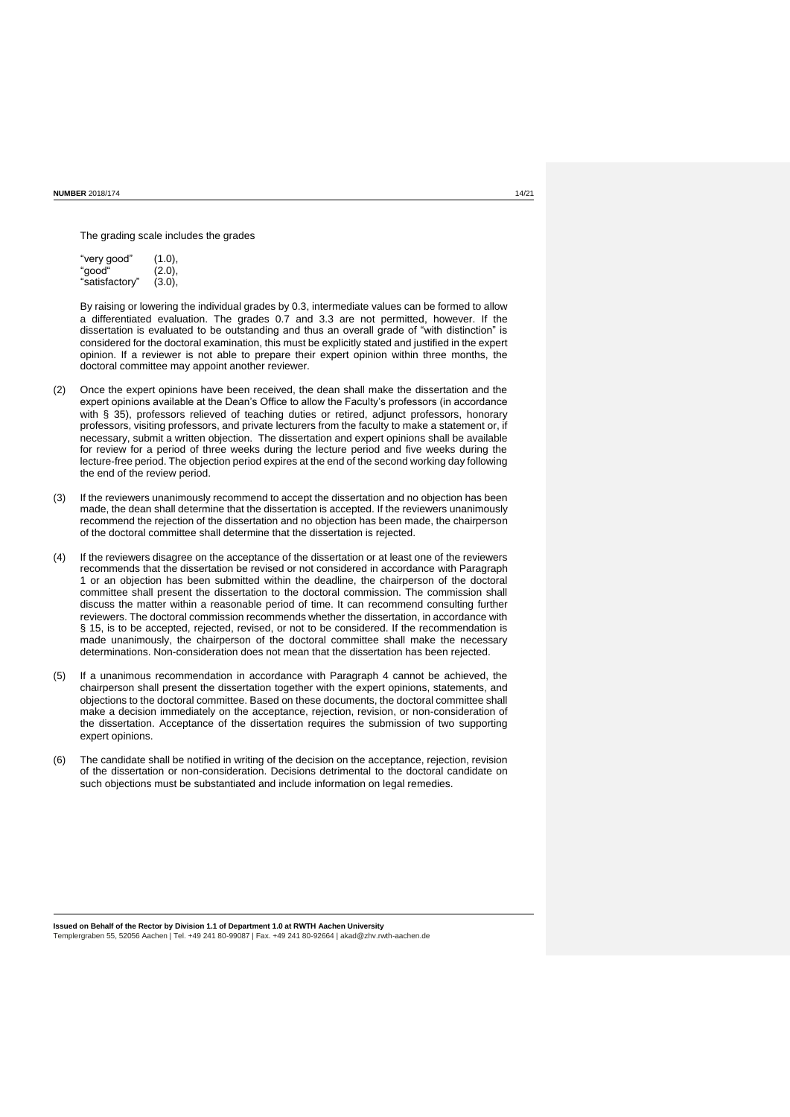The grading scale includes the grades

| "very good"    | (1.0), |
|----------------|--------|
| "good"         | (2.0), |
| "satisfactory" | (3.0), |

By raising or lowering the individual grades by 0.3, intermediate values can be formed to allow a differentiated evaluation. The grades 0.7 and 3.3 are not permitted, however. If the dissertation is evaluated to be outstanding and thus an overall grade of "with distinction" is considered for the doctoral examination, this must be explicitly stated and justified in the expert opinion. If a reviewer is not able to prepare their expert opinion within three months, the doctoral committee may appoint another reviewer.

- (2) Once the expert opinions have been received, the dean shall make the dissertation and the expert opinions available at the Dean's Office to allow the Faculty's professors (in accordance with § 35), professors relieved of teaching duties or retired, adjunct professors, honorary professors, visiting professors, and private lecturers from the faculty to make a statement or, if necessary, submit a written objection. The dissertation and expert opinions shall be available for review for a period of three weeks during the lecture period and five weeks during the lecture-free period. The objection period expires at the end of the second working day following the end of the review period.
- (3) If the reviewers unanimously recommend to accept the dissertation and no objection has been made, the dean shall determine that the dissertation is accepted. If the reviewers unanimously recommend the rejection of the dissertation and no objection has been made, the chairperson of the doctoral committee shall determine that the dissertation is rejected.
- (4) If the reviewers disagree on the acceptance of the dissertation or at least one of the reviewers recommends that the dissertation be revised or not considered in accordance with Paragraph 1 or an objection has been submitted within the deadline, the chairperson of the doctoral committee shall present the dissertation to the doctoral commission. The commission shall discuss the matter within a reasonable period of time. It can recommend consulting further reviewers. The doctoral commission recommends whether the dissertation, in accordance with § 15, is to be accepted, rejected, revised, or not to be considered. If the recommendation is made unanimously, the chairperson of the doctoral committee shall make the necessary determinations. Non-consideration does not mean that the dissertation has been rejected.
- (5) If a unanimous recommendation in accordance with Paragraph 4 cannot be achieved, the chairperson shall present the dissertation together with the expert opinions, statements, and objections to the doctoral committee. Based on these documents, the doctoral committee shall make a decision immediately on the acceptance, rejection, revision, or non-consideration of the dissertation. Acceptance of the dissertation requires the submission of two supporting expert opinions.
- (6) The candidate shall be notified in writing of the decision on the acceptance, rejection, revision of the dissertation or non-consideration. Decisions detrimental to the doctoral candidate on such objections must be substantiated and include information on legal remedies.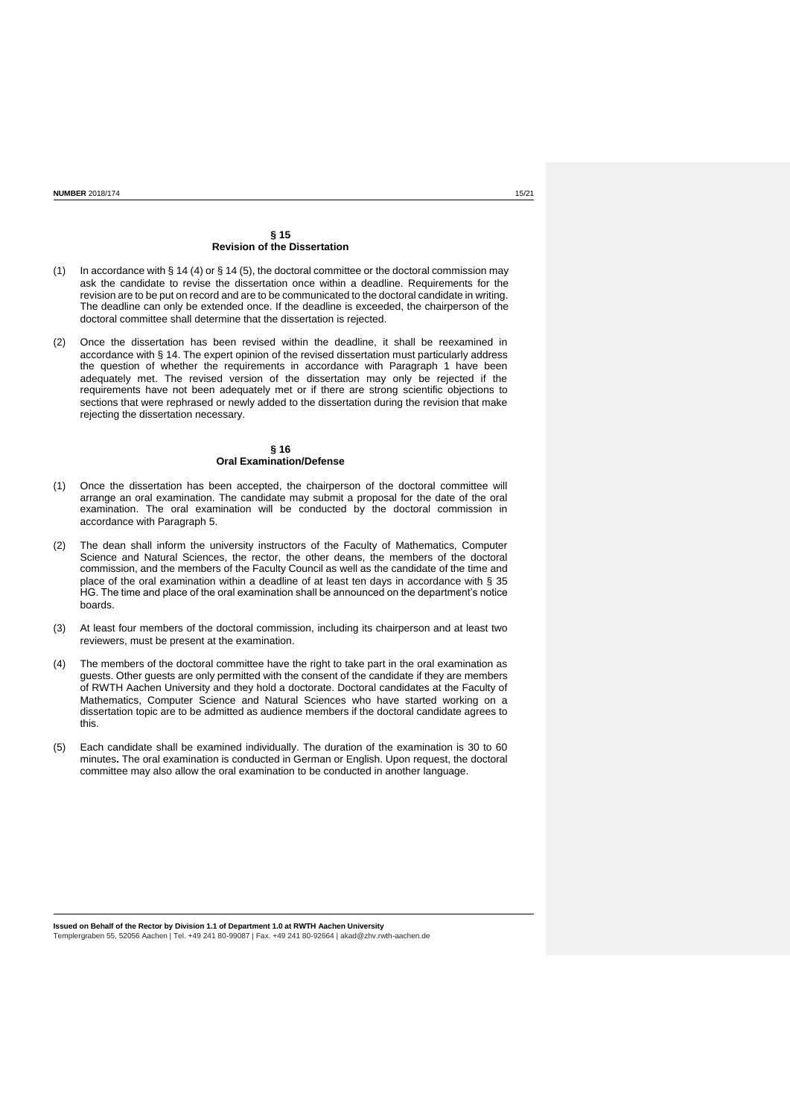### **§ 15 Revision of the Dissertation**

- (1) In accordance with § 14 (4) or § 14 (5), the doctoral committee or the doctoral commission may ask the candidate to revise the dissertation once within a deadline. Requirements for the revision are to be put on record and are to be communicated to the doctoral candidate in writing. The deadline can only be extended once. If the deadline is exceeded, the chairperson of the doctoral committee shall determine that the dissertation is rejected.
- (2) Once the dissertation has been revised within the deadline, it shall be reexamined in accordance with § 14. The expert opinion of the revised dissertation must particularly address the question of whether the requirements in accordance with Paragraph 1 have been adequately met. The revised version of the dissertation may only be rejected if the requirements have not been adequately met or if there are strong scientific objections to sections that were rephrased or newly added to the dissertation during the revision that make rejecting the dissertation necessary.

# **§ 16 Oral Examination/Defense**

- (1) Once the dissertation has been accepted, the chairperson of the doctoral committee will arrange an oral examination. The candidate may submit a proposal for the date of the oral examination. The oral examination will be conducted by the doctoral commission in accordance with Paragraph 5.
- (2) The dean shall inform the university instructors of the Faculty of Mathematics, Computer Science and Natural Sciences, the rector, the other deans, the members of the doctoral commission, and the members of the Faculty Council as well as the candidate of the time and place of the oral examination within a deadline of at least ten days in accordance with § 35 HG. The time and place of the oral examination shall be announced on the department's notice boards.
- (3) At least four members of the doctoral commission, including its chairperson and at least two reviewers, must be present at the examination.
- (4) The members of the doctoral committee have the right to take part in the oral examination as guests. Other guests are only permitted with the consent of the candidate if they are members of RWTH Aachen University and they hold a doctorate. Doctoral candidates at the Faculty of Mathematics, Computer Science and Natural Sciences who have started working on a dissertation topic are to be admitted as audience members if the doctoral candidate agrees to this.
- (5) Each candidate shall be examined individually. The duration of the examination is 30 to 60 minutes**.** The oral examination is conducted in German or English. Upon request, the doctoral committee may also allow the oral examination to be conducted in another language.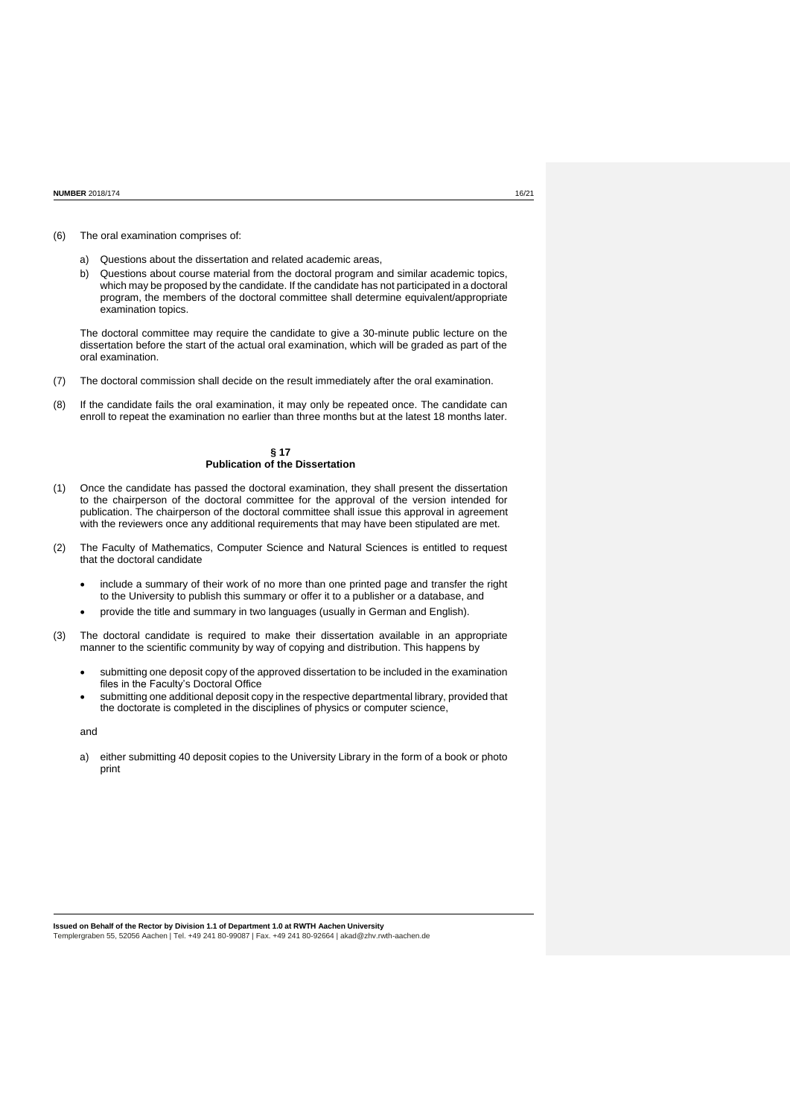#### (6) The oral examination comprises of:

- a) Questions about the dissertation and related academic areas,
- b) Questions about course material from the doctoral program and similar academic topics, which may be proposed by the candidate. If the candidate has not participated in a doctoral program, the members of the doctoral committee shall determine equivalent/appropriate examination topics.

The doctoral committee may require the candidate to give a 30-minute public lecture on the dissertation before the start of the actual oral examination, which will be graded as part of the oral examination.

- (7) The doctoral commission shall decide on the result immediately after the oral examination.
- (8) If the candidate fails the oral examination, it may only be repeated once. The candidate can enroll to repeat the examination no earlier than three months but at the latest 18 months later.

### **§ 17 Publication of the Dissertation**

- (1) Once the candidate has passed the doctoral examination, they shall present the dissertation to the chairperson of the doctoral committee for the approval of the version intended for publication. The chairperson of the doctoral committee shall issue this approval in agreement with the reviewers once any additional requirements that may have been stipulated are met.
- (2) The Faculty of Mathematics, Computer Science and Natural Sciences is entitled to request that the doctoral candidate
	- include a summary of their work of no more than one printed page and transfer the right to the University to publish this summary or offer it to a publisher or a database, and
	- provide the title and summary in two languages (usually in German and English).
- (3) The doctoral candidate is required to make their dissertation available in an appropriate manner to the scientific community by way of copying and distribution. This happens by
	- submitting one deposit copy of the approved dissertation to be included in the examination files in the Faculty's Doctoral Office
	- submitting one additional deposit copy in the respective departmental library, provided that the doctorate is completed in the disciplines of physics or computer science,

and

a) either submitting 40 deposit copies to the University Library in the form of a book or photo print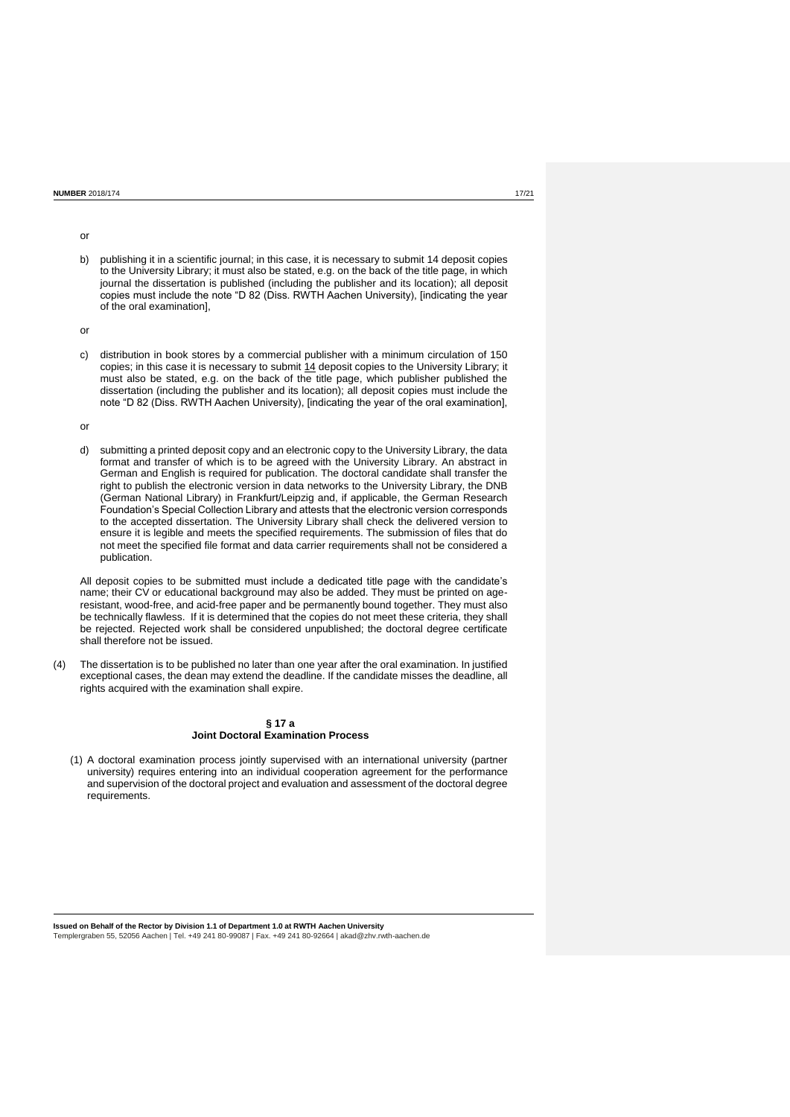b) publishing it in a scientific journal; in this case, it is necessary to submit 14 deposit copies to the University Library; it must also be stated, e.g. on the back of the title page, in which journal the dissertation is published (including the publisher and its location); all deposit copies must include the note "D 82 (Diss. RWTH Aachen University), [indicating the year of the oral examination],

or

c) distribution in book stores by a commercial publisher with a minimum circulation of 150 copies; in this case it is necessary to submit 14 deposit copies to the University Library; it must also be stated, e.g. on the back of the title page, which publisher published the dissertation (including the publisher and its location); all deposit copies must include the note "D 82 (Diss. RWTH Aachen University), [indicating the year of the oral examination],

or

d) submitting a printed deposit copy and an electronic copy to the University Library, the data format and transfer of which is to be agreed with the University Library. An abstract in German and English is required for publication. The doctoral candidate shall transfer the right to publish the electronic version in data networks to the University Library, the DNB (German National Library) in Frankfurt/Leipzig and, if applicable, the German Research Foundation's Special Collection Library and attests that the electronic version corresponds to the accepted dissertation. The University Library shall check the delivered version to ensure it is legible and meets the specified requirements. The submission of files that do not meet the specified file format and data carrier requirements shall not be considered a publication.

All deposit copies to be submitted must include a dedicated title page with the candidate's name; their CV or educational background may also be added. They must be printed on ageresistant, wood-free, and acid-free paper and be permanently bound together. They must also be technically flawless. If it is determined that the copies do not meet these criteria, they shall be rejected. Rejected work shall be considered unpublished; the doctoral degree certificate shall therefore not be issued.

(4) The dissertation is to be published no later than one year after the oral examination. In justified exceptional cases, the dean may extend the deadline. If the candidate misses the deadline, all rights acquired with the examination shall expire.

# **§ 17 a Joint Doctoral Examination Process**

(1) A doctoral examination process jointly supervised with an international university (partner university) requires entering into an individual cooperation agreement for the performance and supervision of the doctoral project and evaluation and assessment of the doctoral degree requirements.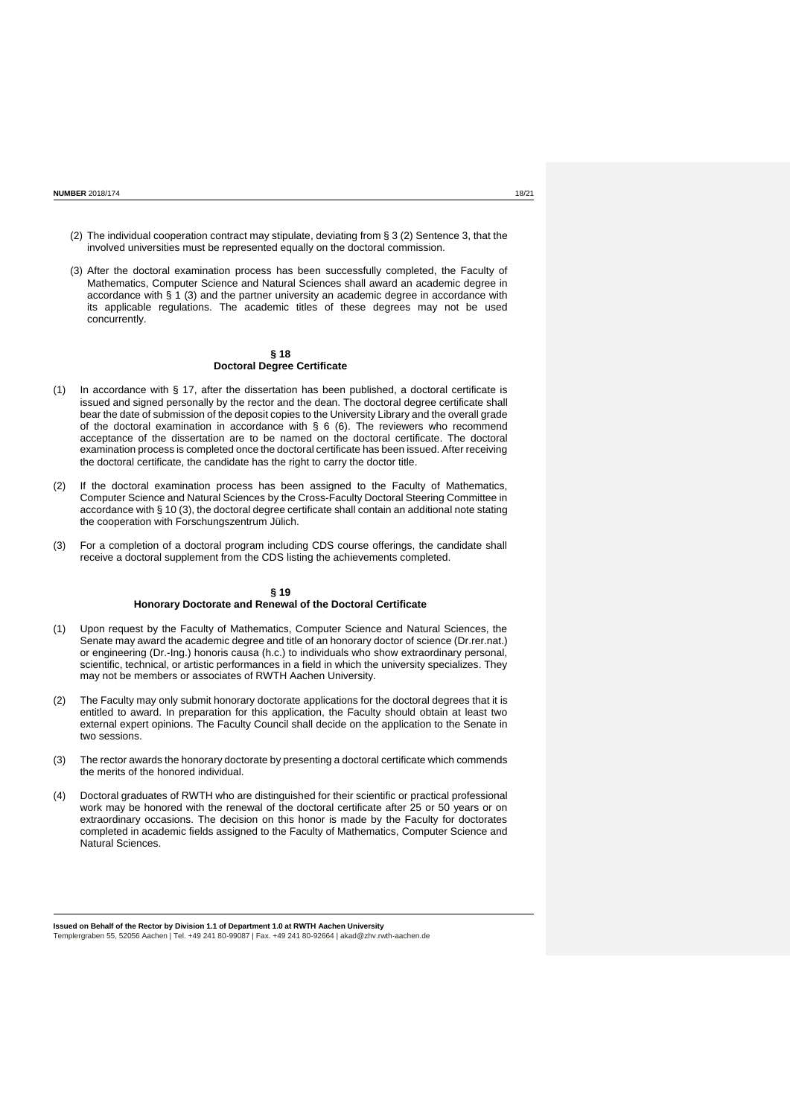- (2) The individual cooperation contract may stipulate, deviating from § 3 (2) Sentence 3, that the involved universities must be represented equally on the doctoral commission.
- (3) After the doctoral examination process has been successfully completed, the Faculty of Mathematics, Computer Science and Natural Sciences shall award an academic degree in accordance with  $\S$  1 (3) and the partner university an academic degree in accordance with its applicable regulations. The academic titles of these degrees may not be used concurrently.

# **§ 18 Doctoral Degree Certificate**

- (1) In accordance with § 17, after the dissertation has been published, a doctoral certificate is issued and signed personally by the rector and the dean. The doctoral degree certificate shall bear the date of submission of the deposit copies to the University Library and the overall grade of the doctoral examination in accordance with § 6 (6). The reviewers who recommend acceptance of the dissertation are to be named on the doctoral certificate. The doctoral examination process is completed once the doctoral certificate has been issued. After receiving the doctoral certificate, the candidate has the right to carry the doctor title.
- (2) If the doctoral examination process has been assigned to the Faculty of Mathematics, Computer Science and Natural Sciences by the Cross-Faculty Doctoral Steering Committee in accordance with § 10 (3), the doctoral degree certificate shall contain an additional note stating the cooperation with Forschungszentrum Jülich.
- (3) For a completion of a doctoral program including CDS course offerings, the candidate shall receive a doctoral supplement from the CDS listing the achievements completed.

### **§ 19 Honorary Doctorate and Renewal of the Doctoral Certificate**

- (1) Upon request by the Faculty of Mathematics, Computer Science and Natural Sciences, the Senate may award the academic degree and title of an honorary doctor of science (Dr.rer.nat.) or engineering (Dr.-Ing.) honoris causa (h.c.) to individuals who show extraordinary personal, scientific, technical, or artistic performances in a field in which the university specializes. They may not be members or associates of RWTH Aachen University.
- (2) The Faculty may only submit honorary doctorate applications for the doctoral degrees that it is entitled to award. In preparation for this application, the Faculty should obtain at least two external expert opinions. The Faculty Council shall decide on the application to the Senate in two sessions.
- (3) The rector awards the honorary doctorate by presenting a doctoral certificate which commends the merits of the honored individual.
- (4) Doctoral graduates of RWTH who are distinguished for their scientific or practical professional work may be honored with the renewal of the doctoral certificate after 25 or 50 years or on extraordinary occasions. The decision on this honor is made by the Faculty for doctorates completed in academic fields assigned to the Faculty of Mathematics, Computer Science and Natural Sciences.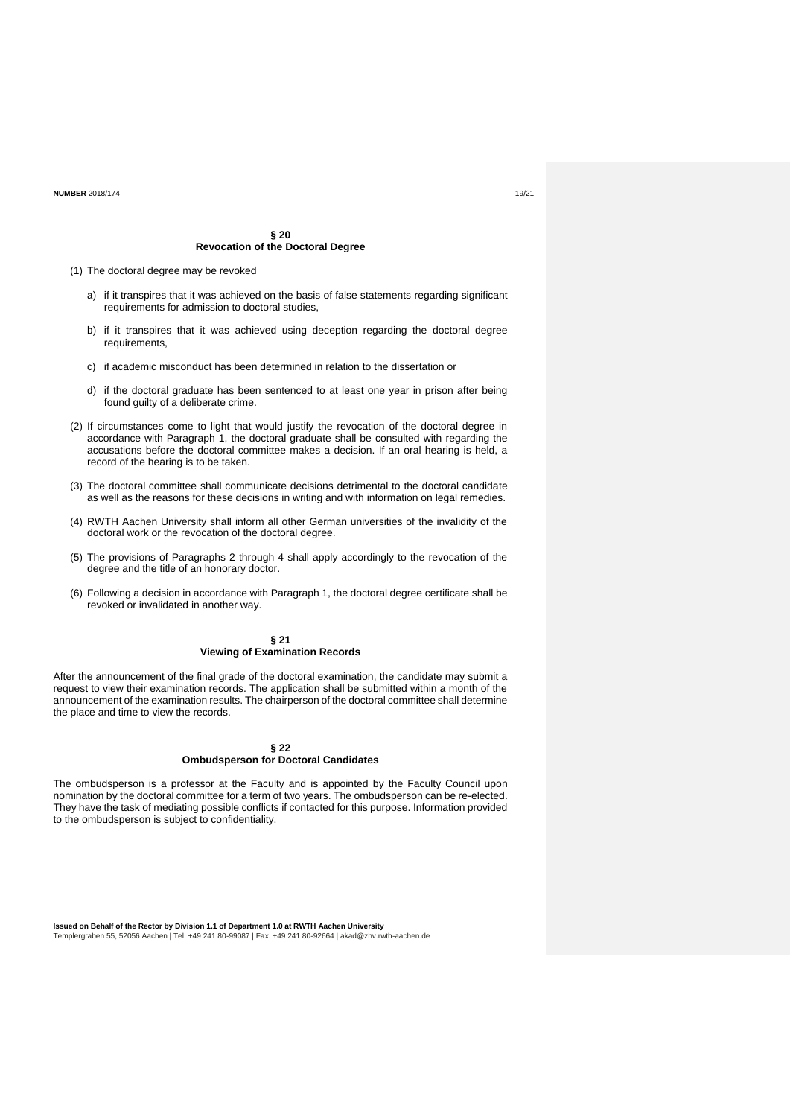### **§ 20 Revocation of the Doctoral Degree**

(1) The doctoral degree may be revoked

- a) if it transpires that it was achieved on the basis of false statements regarding significant requirements for admission to doctoral studies,
- b) if it transpires that it was achieved using deception regarding the doctoral degree requirements,
- c) if academic misconduct has been determined in relation to the dissertation or
- d) if the doctoral graduate has been sentenced to at least one year in prison after being found guilty of a deliberate crime.
- (2) If circumstances come to light that would justify the revocation of the doctoral degree in accordance with Paragraph 1, the doctoral graduate shall be consulted with regarding the accusations before the doctoral committee makes a decision. If an oral hearing is held, a record of the hearing is to be taken.
- (3) The doctoral committee shall communicate decisions detrimental to the doctoral candidate as well as the reasons for these decisions in writing and with information on legal remedies.
- (4) RWTH Aachen University shall inform all other German universities of the invalidity of the doctoral work or the revocation of the doctoral degree.
- (5) The provisions of Paragraphs 2 through 4 shall apply accordingly to the revocation of the degree and the title of an honorary doctor.
- (6) Following a decision in accordance with Paragraph 1, the doctoral degree certificate shall be revoked or invalidated in another way.

### **§ 21 Viewing of Examination Records**

After the announcement of the final grade of the doctoral examination, the candidate may submit a request to view their examination records. The application shall be submitted within a month of the announcement of the examination results. The chairperson of the doctoral committee shall determine the place and time to view the records.

# **§ 22 Ombudsperson for Doctoral Candidates**

The ombudsperson is a professor at the Faculty and is appointed by the Faculty Council upon nomination by the doctoral committee for a term of two years. The ombudsperson can be re-elected. They have the task of mediating possible conflicts if contacted for this purpose. Information provided to the ombudsperson is subject to confidentiality.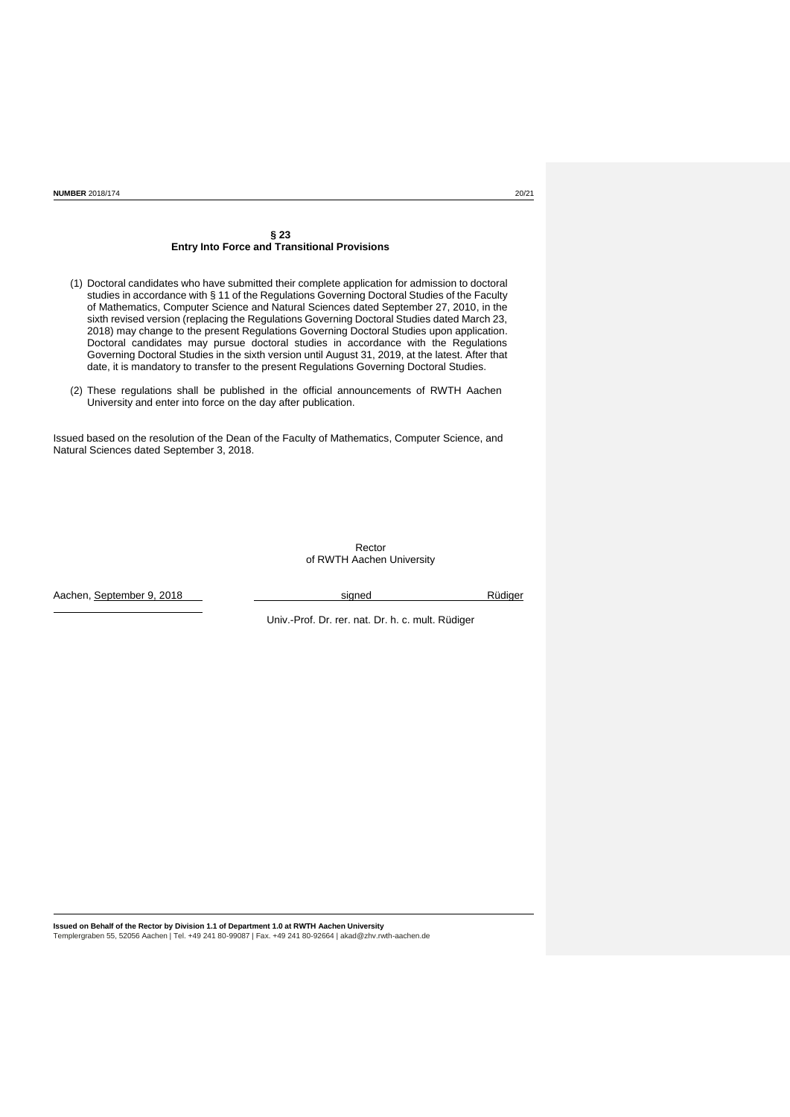### **§ 23 Entry Into Force and Transitional Provisions**

- (1) Doctoral candidates who have submitted their complete application for admission to doctoral studies in accordance with § 11 of the Regulations Governing Doctoral Studies of the Faculty of Mathematics, Computer Science and Natural Sciences dated September 27, 2010, in the sixth revised version (replacing the Regulations Governing Doctoral Studies dated March 23, 2018) may change to the present Regulations Governing Doctoral Studies upon application. Doctoral candidates may pursue doctoral studies in accordance with the Regulations Governing Doctoral Studies in the sixth version until August 31, 2019, at the latest. After that date, it is mandatory to transfer to the present Regulations Governing Doctoral Studies.
- (2) These regulations shall be published in the official announcements of RWTH Aachen University and enter into force on the day after publication.

Issued based on the resolution of the Dean of the Faculty of Mathematics, Computer Science, and Natural Sciences dated September 3, 2018.

> Rector of RWTH Aachen University

Aachen, September 9, 2018 in the Suite of September 9, 2018 in the Suite of Suite of Suite of Suite of Suite o

Univ.-Prof. Dr. rer. nat. Dr. h. c. mult. Rüdiger